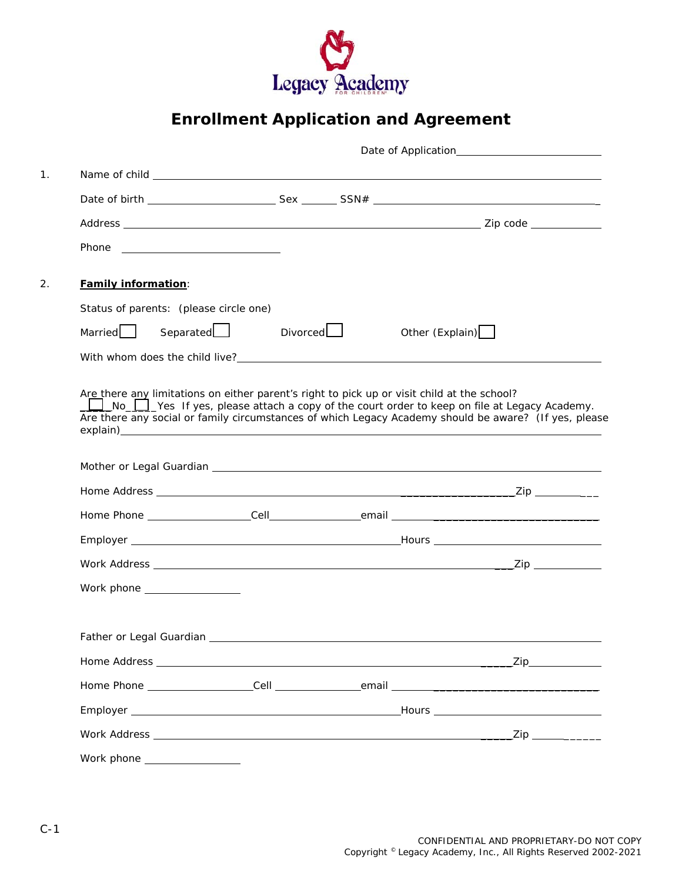

# **Enrollment Application and Agreement**

| <b>Family information:</b>                                                                |                                                                                                                                                                                                                               |                 |  |
|-------------------------------------------------------------------------------------------|-------------------------------------------------------------------------------------------------------------------------------------------------------------------------------------------------------------------------------|-----------------|--|
| Status of parents: (please circle one)                                                    |                                                                                                                                                                                                                               |                 |  |
| Married <sub>L</sub>                                                                      | Divorced<br>Separated<br><u>Let</u>                                                                                                                                                                                           | Other (Explain) |  |
|                                                                                           |                                                                                                                                                                                                                               |                 |  |
| No Ves If yes, please attach a copy of the court order to keep on file at Legacy Academy. | Are there any social or family circumstances of which Legacy Academy should be aware? (If yes, please                                                                                                                         |                 |  |
|                                                                                           | Mother or Legal Guardian Legal Control of the Control of the Control of the Control of the Control of the Control of the Control of the Control of the Control of the Control of the Control of the Control of the Control of |                 |  |
|                                                                                           |                                                                                                                                                                                                                               |                 |  |
|                                                                                           |                                                                                                                                                                                                                               |                 |  |
|                                                                                           |                                                                                                                                                                                                                               |                 |  |
|                                                                                           |                                                                                                                                                                                                                               |                 |  |
| Work phone _________________                                                              |                                                                                                                                                                                                                               |                 |  |
|                                                                                           |                                                                                                                                                                                                                               |                 |  |
|                                                                                           |                                                                                                                                                                                                                               |                 |  |
|                                                                                           |                                                                                                                                                                                                                               |                 |  |
|                                                                                           |                                                                                                                                                                                                                               |                 |  |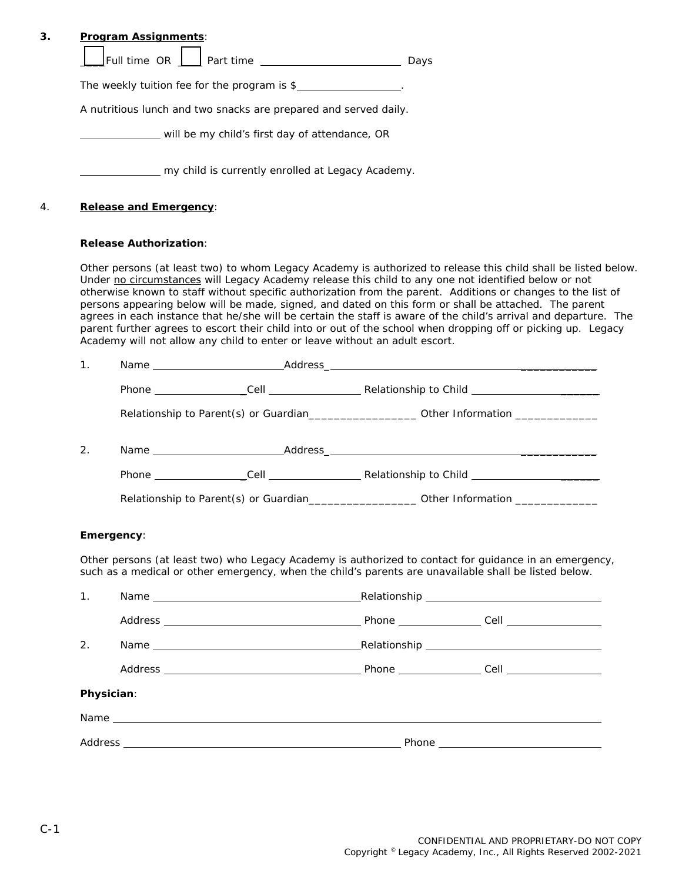|                |                               | $\boxed{\mathsf{Full time OR } \ \boxed{\_\hspace{.3cm}}$ Part time $\_\hspace{.3cm}\boxed{\_\hspace{.3cm}}$ Days |                                                                                                                                                                                                                                                                                                                                                                                                                                                            |
|----------------|-------------------------------|-------------------------------------------------------------------------------------------------------------------|------------------------------------------------------------------------------------------------------------------------------------------------------------------------------------------------------------------------------------------------------------------------------------------------------------------------------------------------------------------------------------------------------------------------------------------------------------|
|                |                               | The weekly tuition fee for the program is \$                                                                      |                                                                                                                                                                                                                                                                                                                                                                                                                                                            |
|                |                               | A nutritious lunch and two snacks are prepared and served daily.                                                  |                                                                                                                                                                                                                                                                                                                                                                                                                                                            |
|                |                               | will be my child's first day of attendance, OR                                                                    |                                                                                                                                                                                                                                                                                                                                                                                                                                                            |
|                |                               | my child is currently enrolled at Legacy Academy.                                                                 |                                                                                                                                                                                                                                                                                                                                                                                                                                                            |
|                | <b>Release and Emergency:</b> |                                                                                                                   |                                                                                                                                                                                                                                                                                                                                                                                                                                                            |
|                | <b>Release Authorization:</b> |                                                                                                                   |                                                                                                                                                                                                                                                                                                                                                                                                                                                            |
| 1 <sub>1</sub> |                               | Academy will not allow any child to enter or leave without an adult escort.                                       | otherwise known to staff without specific authorization from the parent. Additions or changes to the list of<br>persons appearing below will be made, signed, and dated on this form or shall be attached. The parent<br>agrees in each instance that he/she will be certain the staff is aware of the child's arrival and departure. The<br>parent further agrees to escort their child into or out of the school when dropping off or picking up. Legacy |
|                |                               |                                                                                                                   |                                                                                                                                                                                                                                                                                                                                                                                                                                                            |
|                |                               |                                                                                                                   | Relationship to Parent(s) or Guardian______________________ Other Information _____________________                                                                                                                                                                                                                                                                                                                                                        |
|                |                               |                                                                                                                   |                                                                                                                                                                                                                                                                                                                                                                                                                                                            |
| 2.             |                               |                                                                                                                   |                                                                                                                                                                                                                                                                                                                                                                                                                                                            |
|                |                               |                                                                                                                   |                                                                                                                                                                                                                                                                                                                                                                                                                                                            |
|                |                               |                                                                                                                   | Relationship to Parent(s) or Guardian_______________________ Other Information ____________________                                                                                                                                                                                                                                                                                                                                                        |
|                | Emergency:                    |                                                                                                                   |                                                                                                                                                                                                                                                                                                                                                                                                                                                            |
|                |                               |                                                                                                                   | Other persons (at least two) who Legacy Academy is authorized to contact for guidance in an emergency,<br>such as a medical or other emergency, when the child's parents are unavailable shall be listed below.                                                                                                                                                                                                                                            |
|                |                               |                                                                                                                   |                                                                                                                                                                                                                                                                                                                                                                                                                                                            |
|                |                               |                                                                                                                   |                                                                                                                                                                                                                                                                                                                                                                                                                                                            |
|                |                               |                                                                                                                   |                                                                                                                                                                                                                                                                                                                                                                                                                                                            |
|                |                               |                                                                                                                   |                                                                                                                                                                                                                                                                                                                                                                                                                                                            |
|                |                               |                                                                                                                   |                                                                                                                                                                                                                                                                                                                                                                                                                                                            |
| 1.<br>2.       | Physician:                    |                                                                                                                   |                                                                                                                                                                                                                                                                                                                                                                                                                                                            |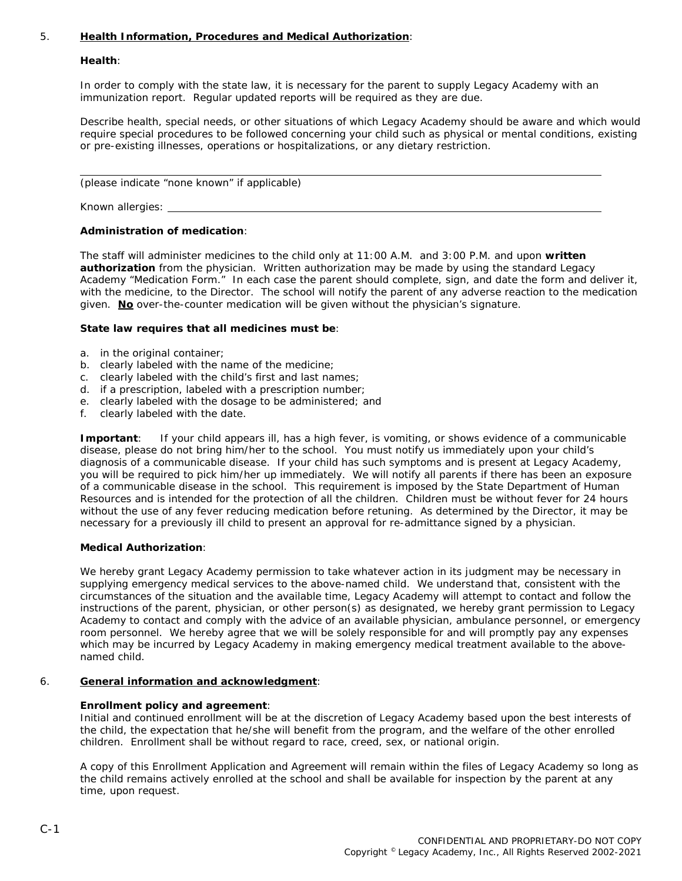# 5. **Health Information, Procedures and Medical Authorization**:

## **Health**:

In order to comply with the state law, it is necessary for the parent to supply Legacy Academy with an immunization report. Regular updated reports will be required as they are due.

Describe health, special needs, or other situations of which Legacy Academy should be aware and which would require special procedures to be followed concerning your child such as physical or mental conditions, existing or pre-existing illnesses, operations or hospitalizations, or any dietary restriction.

(please indicate "none known" if applicable)

Known allergies:

## **Administration of medication**:

The staff will administer medicines to the child only at 11:00 A.M. and 3:00 P.M. and upon **written authorization** from the physician. Written authorization may be made by using the standard Legacy Academy "Medication Form." In each case the parent should complete, sign, and date the form and deliver it, with the medicine, to the Director. The school will notify the parent of any adverse reaction to the medication given. **No** over-the-counter medication will be given without the physician's signature.

## **State law requires that all medicines must be**:

- a. in the original container;
- b. clearly labeled with the name of the medicine;
- c. clearly labeled with the child's first and last names;
- d. if a prescription, labeled with a prescription number;
- e. clearly labeled with the dosage to be administered; and
- f. clearly labeled with the date.

**Important**: If your child appears ill, has a high fever, is vomiting, or shows evidence of a communicable disease, please do not bring him/her to the school. You must notify us immediately upon your child's diagnosis of a communicable disease. If your child has such symptoms and is present at Legacy Academy, you will be required to pick him/her up immediately. We will notify all parents if there has been an exposure of a communicable disease in the school. This requirement is imposed by the State Department of Human Resources and is intended for the protection of all the children. Children must be without fever for 24 hours without the use of any fever reducing medication before retuning. As determined by the Director, it may be necessary for a previously ill child to present an approval for re-admittance signed by a physician.

#### **Medical Authorization**:

We hereby grant Legacy Academy permission to take whatever action in its judgment may be necessary in supplying emergency medical services to the above-named child. We understand that, consistent with the circumstances of the situation and the available time, Legacy Academy will attempt to contact and follow the instructions of the parent, physician, or other person(s) as designated, we hereby grant permission to Legacy Academy to contact and comply with the advice of an available physician, ambulance personnel, or emergency room personnel. We hereby agree that we will be solely responsible for and will promptly pay any expenses which may be incurred by Legacy Academy in making emergency medical treatment available to the abovenamed child.

#### 6. **General information and acknowledgment**:

# **Enrollment policy and agreement**:

Initial and continued enrollment will be at the discretion of Legacy Academy based upon the best interests of the child, the expectation that he/she will benefit from the program, and the welfare of the other enrolled children. Enrollment shall be without regard to race, creed, sex, or national origin.

A copy of this Enrollment Application and Agreement will remain within the files of Legacy Academy so long as the child remains actively enrolled at the school and shall be available for inspection by the parent at any time, upon request.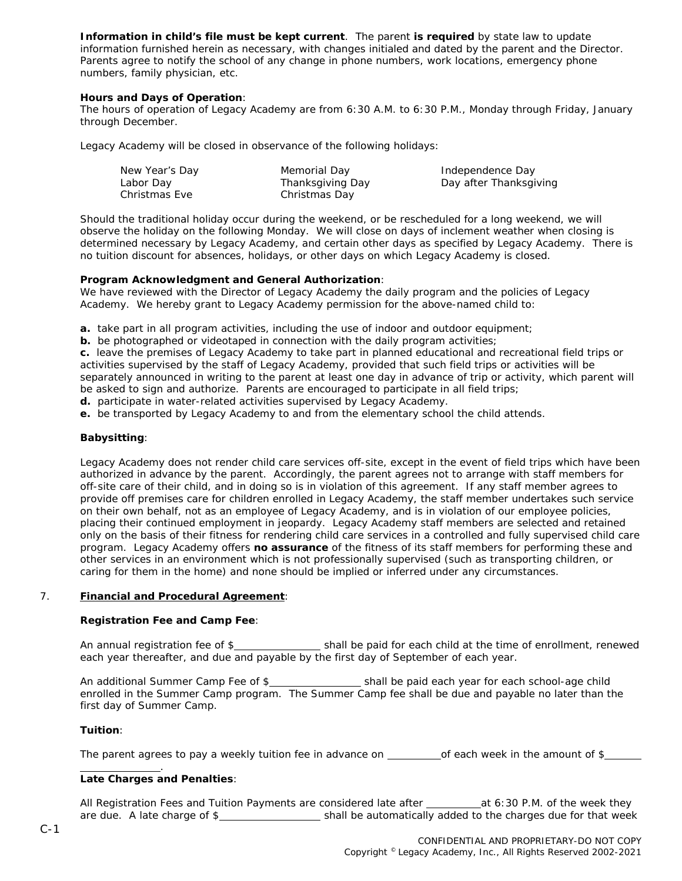**Information in child's file must be kept current**. The parent **is required** by state law to update information furnished herein as necessary, with changes initialed and dated by the parent and the Director. Parents agree to notify the school of any change in phone numbers, work locations, emergency phone numbers, family physician, etc.

# **Hours and Days of Operation**:

The hours of operation of Legacy Academy are from 6:30 A.M. to 6:30 P.M., Monday through Friday, January through December.

Legacy Academy will be closed in observance of the following holidays:

| New Year's Day | Memorial Day     | Independence Day       |
|----------------|------------------|------------------------|
| Labor Day      | Thanksgiving Day | Day after Thanksgiving |
| Christmas Eve  | Christmas Day    |                        |

Should the traditional holiday occur during the weekend, or be rescheduled for a long weekend, we will observe the holiday on the following Monday. We will close on days of inclement weather when closing is determined necessary by Legacy Academy, and certain other days as specified by Legacy Academy. There is no tuition discount for absences, holidays, or other days on which Legacy Academy is closed.

## **Program Acknowledgment and General Authorization**:

We have reviewed with the Director of Legacy Academy the daily program and the policies of Legacy Academy. We hereby grant to Legacy Academy permission for the above-named child to:

**a.** take part in all program activities, including the use of indoor and outdoor equipment;

**b.** be photographed or videotaped in connection with the daily program activities;

**c.** leave the premises of Legacy Academy to take part in planned educational and recreational field trips or activities supervised by the staff of Legacy Academy, provided that such field trips or activities will be separately announced in writing to the parent at least one day in advance of trip or activity, which parent will be asked to sign and authorize. Parents are encouraged to participate in all field trips;

**d.** participate in water-related activities supervised by Legacy Academy.

**e.** be transported by Legacy Academy to and from the elementary school the child attends.

# **Babysitting**:

Legacy Academy does not render child care services off-site, except in the event of field trips which have been authorized in advance by the parent. Accordingly, the parent agrees not to arrange with staff members for off-site care of their child, and in doing so is in violation of this agreement. If any staff member agrees to provide off premises care for children enrolled in Legacy Academy, the staff member undertakes such service on their own behalf, not as an employee of Legacy Academy, and is in violation of our employee policies, placing their continued employment in jeopardy. Legacy Academy staff members are selected and retained only on the basis of their fitness for rendering child care services in a controlled and fully supervised child care program. Legacy Academy offers **no assurance** of the fitness of its staff members for performing these and other services in an environment which is not professionally supervised (such as transporting children, or caring for them in the home) and none should be implied or inferred under any circumstances.

#### 7. **Financial and Procedural Agreement**:

#### **Registration Fee and Camp Fee**:

An annual registration fee of \$ shall be paid for each child at the time of enrollment, renewed each year thereafter, and due and payable by the first day of September of each year.

An additional Summer Camp Fee of \$\_\_\_\_\_\_\_\_\_\_\_\_\_\_\_\_\_\_\_\_\_\_shall be paid each year for each school-age child enrolled in the Summer Camp program. The Summer Camp fee shall be due and payable no later than the first day of Summer Camp.

#### **Tuition**:

The parent agrees to pay a weekly tuition fee in advance on  $\qquad \qquad$  of each week in the amount of \$

#### . **Late Charges and Penalties**:

All Registration Fees and Tuition Payments are considered late after  $\qquad \qquad$  at 6:30 P.M. of the week they are due. A late charge of \$\_\_\_\_\_\_\_\_\_\_\_\_\_\_\_\_\_\_\_\_\_\_\_ shall be automatically added to the charges due for that week